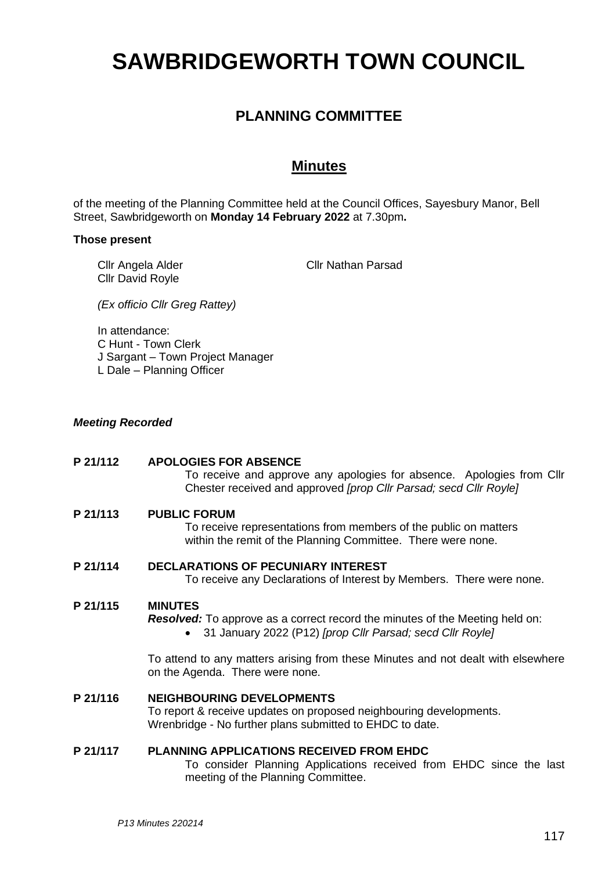# **SAWBRIDGEWORTH TOWN COUNCIL**

# **PLANNING COMMITTEE**

# **Minutes**

of the meeting of the Planning Committee held at the Council Offices, Sayesbury Manor, Bell Street, Sawbridgeworth on **Monday 14 February 2022** at 7.30pm**.**

#### **Those present**

Cllr Angela Alder Cllr David Royle

Cllr Nathan Parsad

*(Ex officio Cllr Greg Rattey)*

In attendance: C Hunt - Town Clerk J Sargant – Town Project Manager L Dale – Planning Officer

# *Meeting Recorded*

# **P 21/112 APOLOGIES FOR ABSENCE**

To receive and approve any apologies for absence. Apologies from Cllr Chester received and approved *[prop Cllr Parsad; secd Cllr Royle]*

#### **P 21/113 PUBLIC FORUM**

To receive representations from members of the public on matters within the remit of the Planning Committee. There were none.

#### **P 21/114 DECLARATIONS OF PECUNIARY INTEREST**

To receive any Declarations of Interest by Members. There were none.

#### **P 21/115 MINUTES**

*Resolved:* To approve as a correct record the minutes of the Meeting held on:

• 31 January 2022 (P12) *[prop Cllr Parsad; secd Cllr Royle]*

To attend to any matters arising from these Minutes and not dealt with elsewhere on the Agenda. There were none.

#### **P 21/116 NEIGHBOURING DEVELOPMENTS**

To report & receive updates on proposed neighbouring developments. Wrenbridge - No further plans submitted to EHDC to date.

#### **P 21/117 PLANNING APPLICATIONS RECEIVED FROM EHDC**

To consider Planning Applications received from EHDC since the last meeting of the Planning Committee.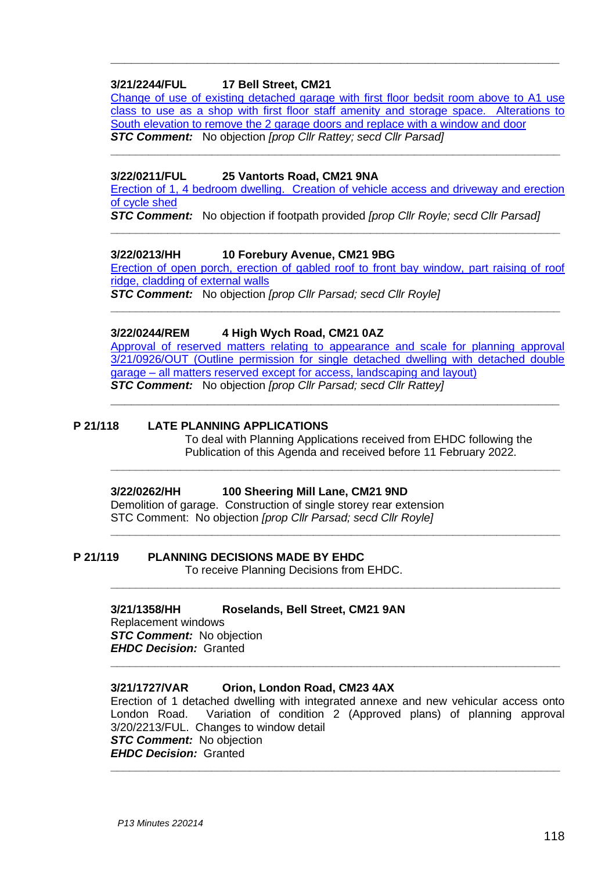# **3/21/2244/FUL 17 Bell Street, CM21**

[Change of use of existing detached garage with first](https://publicaccess.eastherts.gov.uk/online-applications/applicationDetails.do?activeTab=documents&keyVal=QYFYF6GL00X00) floor bedsit room above to A1 use class to use [as a shop with first floor staff amenity and storage space. Alterations to](https://publicaccess.eastherts.gov.uk/online-applications/applicationDetails.do?activeTab=documents&keyVal=QYFYF6GL00X00)  South elevation to remove the 2 garage [doors and replace with a window and door](https://publicaccess.eastherts.gov.uk/online-applications/applicationDetails.do?activeTab=documents&keyVal=QYFYF6GL00X00) *STC Comment:* No objection *[prop Cllr Rattey; secd Cllr Parsad]*

**\_\_\_\_\_\_\_\_\_\_\_\_\_\_\_\_\_\_\_\_\_\_\_\_\_\_\_\_\_\_\_\_\_\_\_\_\_\_\_\_\_\_\_\_\_\_\_\_\_\_\_\_\_\_\_\_\_\_\_\_\_\_\_\_\_\_\_\_\_\_\_**

**\_\_\_\_\_\_\_\_\_\_\_\_\_\_\_\_\_\_\_\_\_\_\_\_\_\_\_\_\_\_\_\_\_\_\_\_\_\_\_\_\_\_\_\_\_\_\_\_\_\_\_\_\_\_\_\_\_\_\_\_\_\_\_\_\_**

### **3/22/0211/FUL 25 Vantorts Road, CM21 9NA**

[Erection of 1, 4 bedroom dwelling. Creation of vehicle](https://publicaccess.eastherts.gov.uk/online-applications/applicationDetails.do?activeTab=documents&keyVal=R6MNKBGL00T00) access and driveway and erection [of cycle shed](https://publicaccess.eastherts.gov.uk/online-applications/applicationDetails.do?activeTab=documents&keyVal=R6MNKBGL00T00)

**\_\_\_\_\_\_\_\_\_\_\_\_\_\_\_\_\_\_\_\_\_\_\_\_\_\_\_\_\_\_\_\_\_\_\_\_\_\_\_\_\_\_\_\_\_\_\_\_\_\_\_\_\_\_\_\_\_\_\_\_\_\_\_\_\_\_\_\_\_\_\_**

*STC Comment:* No objection if footpath provided *[prop Cllr Royle; secd Cllr Parsad]*

#### **3/22/0213/HH 10 Forebury Avenue, CM21 9BG**

Erection of open porch, erection of gabled [roof to front bay window, part raising of roof](https://publicaccess.eastherts.gov.uk/online-applications/applicationDetails.do?activeTab=documents&keyVal=R6MV79GLJ9B00)  [ridge, cladding of external walls](https://publicaccess.eastherts.gov.uk/online-applications/applicationDetails.do?activeTab=documents&keyVal=R6MV79GLJ9B00)

**\_\_\_\_\_\_\_\_\_\_\_\_\_\_\_\_\_\_\_\_\_\_\_\_\_\_\_\_\_\_\_\_\_\_\_\_\_\_\_\_\_\_\_\_\_\_\_\_\_\_\_\_\_\_\_\_\_\_\_\_\_\_\_\_\_\_\_\_\_\_\_**

*STC Comment:* No objection *[prop Cllr Parsad; secd Cllr Royle]*

#### **3/22/0244/REM 4 High Wych Road, CM21 0AZ**

[Approval of reserved matters relating to appearance and scale for planning approval](https://publicaccess.eastherts.gov.uk/online-applications/applicationDetails.do?activeTab=documents&keyVal=R6Q9D6GLJAU00)  [3/21/0926/OUT \(Outline permission for single detached dwelling with detached double](https://publicaccess.eastherts.gov.uk/online-applications/applicationDetails.do?activeTab=documents&keyVal=R6Q9D6GLJAU00)  garage – [all matters reserved except for access, landscaping and layout\)](https://publicaccess.eastherts.gov.uk/online-applications/applicationDetails.do?activeTab=documents&keyVal=R6Q9D6GLJAU00) *STC Comment:* No objection *[prop Cllr Parsad; secd Cllr Rattey]*

**\_\_\_\_\_\_\_\_\_\_\_\_\_\_\_\_\_\_\_\_\_\_\_\_\_\_\_\_\_\_\_\_\_\_\_\_\_\_\_\_\_\_\_\_\_\_\_\_\_\_\_\_\_\_\_\_\_\_\_\_\_\_\_\_\_**

**\_\_\_\_\_\_\_\_\_\_\_\_\_\_\_\_\_\_\_\_\_\_\_\_\_\_\_\_\_\_\_\_\_\_\_\_\_\_\_\_\_\_\_\_\_\_\_\_\_\_\_\_\_\_\_\_\_\_\_\_\_\_\_\_\_\_\_\_\_\_\_**

**\_\_\_\_\_\_\_\_\_\_\_\_\_\_\_\_\_\_\_\_\_\_\_\_\_\_\_\_\_\_\_\_\_\_\_\_\_\_\_\_\_\_\_\_\_\_\_\_\_\_\_\_\_\_\_\_\_\_\_\_\_\_\_\_\_\_\_\_\_\_\_**

**\_\_\_\_\_\_\_\_\_\_\_\_\_\_\_\_\_\_\_\_\_\_\_\_\_\_\_\_\_\_\_\_\_\_\_\_\_\_\_\_\_\_\_\_\_\_\_\_\_\_\_\_\_\_\_\_\_\_\_\_\_\_\_\_\_\_\_\_\_\_\_**

**\_\_\_\_\_\_\_\_\_\_\_\_\_\_\_\_\_\_\_\_\_\_\_\_\_\_\_\_\_\_\_\_\_\_\_\_\_\_\_\_\_\_\_\_\_\_\_\_\_\_\_\_\_\_\_\_\_\_\_\_\_\_\_\_\_\_\_\_\_\_\_**

# **P 21/118 LATE PLANNING APPLICATIONS**

To deal with Planning Applications received from EHDC following the Publication of this Agenda and received before 11 February 2022.

#### **3/22/0262/HH 100 Sheering Mill Lane, CM21 9ND**

Demolition of garage. Construction of single storey rear extension STC Comment: No objection *[prop Cllr Parsad; secd Cllr Royle]*

# **P 21/119 PLANNING DECISIONS MADE BY EHDC**

To receive Planning Decisions from EHDC.

#### **3/21/1358/HH Roselands, Bell Street, CM21 9AN**

Replacement windows *STC Comment:* No objection *EHDC Decision:* Granted

# **3/21/1727/VAR Orion, London Road, CM23 4AX**

Erection of 1 detached dwelling with integrated annexe and new vehicular access onto London Road. Variation of condition 2 (Approved plans) of planning approval 3/20/2213/FUL. Changes to window detail *STC Comment:* No objection *EHDC Decision:* Granted

**\_\_\_\_\_\_\_\_\_\_\_\_\_\_\_\_\_\_\_\_\_\_\_\_\_\_\_\_\_\_\_\_\_\_\_\_\_\_\_\_\_\_\_\_\_\_\_\_\_\_\_\_\_\_\_\_\_\_\_\_\_\_\_\_\_\_\_\_\_\_\_**